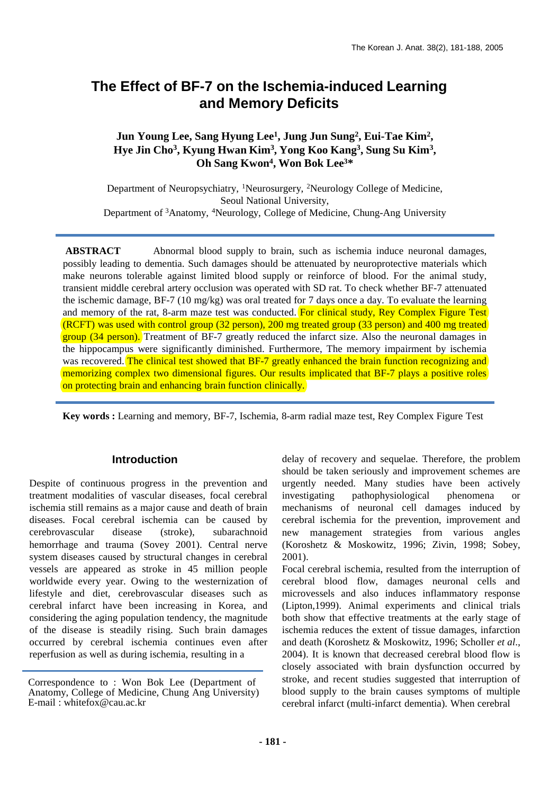## **The Effect of BF-7 on the Ischemia-induced Learning and Memory Deficits**

## **Jun Young Lee, Sang Hyung Lee1, Jung Jun Sung2, Eui-Tae Kim2, Hye Jin Cho3, Kyung Hwan Kim3, Yong Koo Kang3, Sung Su Kim3, Oh Sang Kwon4, Won Bok Lee3\***

Department of Neuropsychiatry, 1Neurosurgery, 2Neurology College of Medicine, Seoul National University, Department of 3Anatomy, 4Neurology, College of Medicine, Chung-Ang University

**ABSTRACT** Abnormal blood supply to brain, such as ischemia induce neuronal damages, possibly leading to dementia. Such damages should be attenuated by neuroprotective materials which make neurons tolerable against limited blood supply or reinforce of blood. For the animal study, transient middle cerebral artery occlusion was operated with SD rat. To check whether BF-7 attenuated the ischemic damage, BF-7 (10 mg/kg) was oral treated for 7 days once a day. To evaluate the learning and memory of the rat, 8-arm maze test was conducted. For clinical study, Rey Complex Figure Test (RCFT) was used with control group (32 person), 200 mg treated group (33 person) and 400 mg treated group (34 person). Treatment of BF-7 greatly reduced the infarct size. Also the neuronal damages in the hippocampus were significantly diminished. Furthermore, The memory impairment by ischemia was recovered. The clinical test showed that BF-7 greatly enhanced the brain function recognizing and memorizing complex two dimensional figures. Our results implicated that BF-7 plays a positive roles on protecting brain and enhancing brain function clinically.

**Key words :** Learning and memory, BF-7, Ischemia, 8-arm radial maze test, Rey Complex Figure Test

## **Introduction**

Despite of continuous progress in the prevention and treatment modalities of vascular diseases, focal cerebral ischemia still remains as a major cause and death of brain diseases. Focal cerebral ischemia can be caused by cerebrovascular disease (stroke), subarachnoid hemorrhage and trauma (Sovey 2001). Central nerve system diseases caused by structural changes in cerebral vessels are appeared as stroke in 45 million people worldwide every year. Owing to the westernization of lifestyle and diet, cerebrovascular diseases such as cerebral infarct have been increasing in Korea, and considering the aging population tendency, the magnitude of the disease is steadily rising. Such brain damages occurred by cerebral ischemia continues even after reperfusion as well as during ischemia, resulting in a

delay of recovery and sequelae. Therefore, the problem should be taken seriously and improvement schemes are urgently needed. Many studies have been actively investigating pathophysiological phenomena or mechanisms of neuronal cell damages induced by cerebral ischemia for the prevention, improvement and new management strategies from various angles (Koroshetz & Moskowitz, 1996; Zivin, 1998; Sobey, 2001).

Focal cerebral ischemia, resulted from the interruption of cerebral blood flow, damages neuronal cells and microvessels and also induces inflammatory response (Lipton,1999). Animal experiments and clinical trials both show that effective treatments at the early stage of ischemia reduces the extent of tissue damages, infarction and death (Koroshetz & Moskowitz, 1996; Scholler *et al*., 2004). It is known that decreased cerebral blood flow is closely associated with brain dysfunction occurred by stroke, and recent studies suggested that interruption of blood supply to the brain causes symptoms of multiple cerebral infarct (multi-infarct dementia). When cerebral

Correspondence to : Won Bok Lee (Department of Anatomy, College of Medicine, Chung Ang University) E-mail : whitefox@cau.ac.kr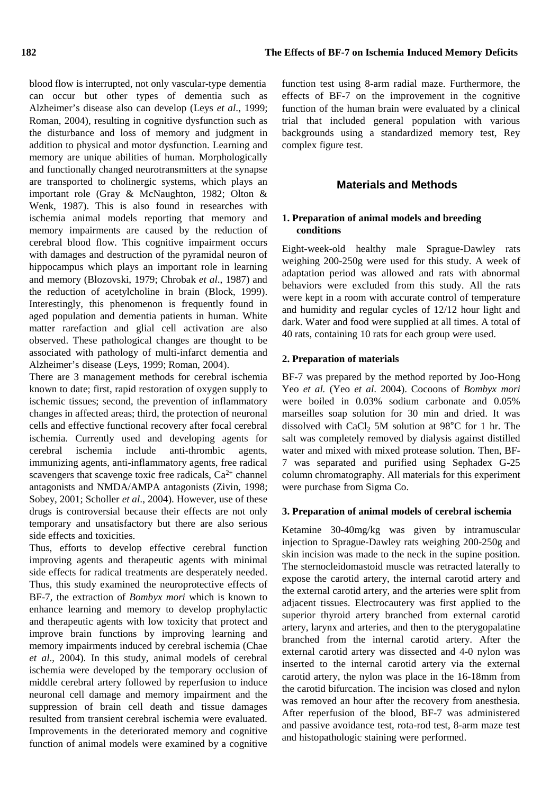blood flow is interrupted, not only vascular-type dementia can occur but other types of dementia such as Alzheimer's disease also can develop (Leys *et al*., 1999; Roman, 2004), resulting in cognitive dysfunction such as the disturbance and loss of memory and judgment in addition to physical and motor dysfunction. Learning and memory are unique abilities of human. Morphologically and functionally changed neurotransmitters at the synapse are transported to cholinergic systems, which plays an important role (Gray & McNaughton, 1982; Olton & Wenk, 1987). This is also found in researches with ischemia animal models reporting that memory and memory impairments are caused by the reduction of cerebral blood flow. This cognitive impairment occurs with damages and destruction of the pyramidal neuron of hippocampus which plays an important role in learning and memory (Blozovski, 1979; Chrobak *et al*., 1987) and the reduction of acetylcholine in brain (Block, 1999). Interestingly, this phenomenon is frequently found in aged population and dementia patients in human. White matter rarefaction and glial cell activation are also observed. These pathological changes are thought to be associated with pathology of multi-infarct dementia and Alzheimer's disease (Leys, 1999; Roman, 2004).

There are 3 management methods for cerebral ischemia known to date; first, rapid restoration of oxygen supply to ischemic tissues; second, the prevention of inflammatory changes in affected areas; third, the protection of neuronal cells and effective functional recovery after focal cerebral ischemia. Currently used and developing agents for cerebral ischemia include anti-thrombic agents, immunizing agents, anti-inflammatory agents, free radical scavengers that scavenge toxic free radicals,  $Ca^{2+}$  channel antagonists and NMDA/AMPA antagonists (Zivin, 1998; Sobey, 2001; Scholler *et al*., 2004). However, use of these drugs is controversial because their effects are not only temporary and unsatisfactory but there are also serious side effects and toxicities.

Thus, efforts to develop effective cerebral function improving agents and therapeutic agents with minimal side effects for radical treatments are desperately needed. Thus, this study examined the neuroprotective effects of BF-7, the extraction of *Bombyx mori* which is known to enhance learning and memory to develop prophylactic and therapeutic agents with low toxicity that protect and improve brain functions by improving learning and memory impairments induced by cerebral ischemia (Chae *et al*., 2004). In this study, animal models of cerebral ischemia were developed by the temporary occlusion of middle cerebral artery followed by reperfusion to induce neuronal cell damage and memory impairment and the suppression of brain cell death and tissue damages resulted from transient cerebral ischemia were evaluated. Improvements in the deteriorated memory and cognitive function of animal models were examined by a cognitive

function test using 8-arm radial maze. Furthermore, the effects of BF-7 on the improvement in the cognitive function of the human brain were evaluated by a clinical trial that included general population with various backgrounds using a standardized memory test, Rey complex figure test.

## **Materials and Methods**

## **1. Preparation of animal models and breeding conditions**

Eight-week-old healthy male Sprague-Dawley rats weighing 200-250g were used for this study. A week of adaptation period was allowed and rats with abnormal behaviors were excluded from this study. All the rats were kept in a room with accurate control of temperature and humidity and regular cycles of 12/12 hour light and dark. Water and food were supplied at all times. A total of 40 rats, containing 10 rats for each group were used.

#### **2. Preparation of materials**

BF-7 was prepared by the method reported by Joo-Hong Yeo *et al.* (Yeo *et al*. 2004). Cocoons of *Bombyx mori* were boiled in 0.03% sodium carbonate and 0.05% marseilles soap solution for 30 min and dried. It was dissolved with CaCl<sub>2</sub> 5M solution at 98°C for 1 hr. The salt was completely removed by dialysis against distilled water and mixed with mixed protease solution. Then, BF-7 was separated and purified using Sephadex G-25 column chromatography. All materials for this experiment were purchase from Sigma Co.

## **3. Preparation of animal models of cerebral ischemia**

Ketamine 30-40mg/kg was given by intramuscular injection to Sprague-Dawley rats weighing 200-250g and skin incision was made to the neck in the supine position. The sternocleidomastoid muscle was retracted laterally to expose the carotid artery, the internal carotid artery and the external carotid artery, and the arteries were split from adjacent tissues. Electrocautery was first applied to the superior thyroid artery branched from external carotid artery, larynx and arteries, and then to the pterygopalatine branched from the internal carotid artery. After the external carotid artery was dissected and 4-0 nylon was inserted to the internal carotid artery via the external carotid artery, the nylon was place in the 16-18mm from the carotid bifurcation. The incision was closed and nylon was removed an hour after the recovery from anesthesia. After reperfusion of the blood, BF-7 was administered and passive avoidance test, rota-rod test, 8-arm maze test and histopathologic staining were performed.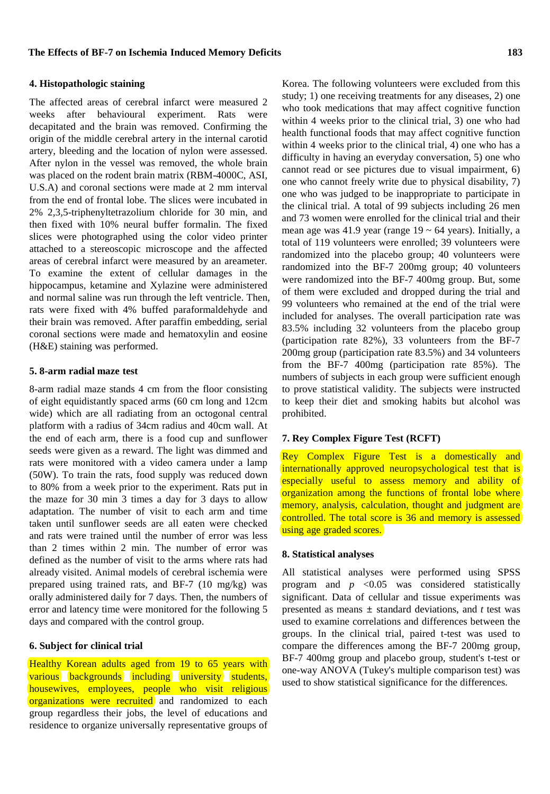## The affected areas of cerebral infarct were measured 2 weeks after behavioural experiment. Rats were decapitated and the brain was removed. Confirming the origin of the middle cerebral artery in the internal carotid artery, bleeding and the location of nylon were assessed. After nylon in the vessel was removed, the whole brain was placed on the rodent brain matrix (RBM-4000C, ASI, U.S.A) and coronal sections were made at 2 mm interval from the end of frontal lobe. The slices were incubated in 2% 2,3,5-triphenyltetrazolium chloride for 30 min, and then fixed with 10% neural buffer formalin. The fixed slices were photographed using the color video printer attached to a stereoscopic microscope and the affected areas of cerebral infarct were measured by an areameter. To examine the extent of cellular damages in the hippocampus, ketamine and Xylazine were administered and normal saline was run through the left ventricle. Then, rats were fixed with 4% buffed paraformaldehyde and their brain was removed. After paraffin embedding, serial coronal sections were made and hematoxylin and eosine (H&E) staining was performed.

#### **5. 8-arm radial maze test**

8-arm radial maze stands 4 cm from the floor consisting of eight equidistantly spaced arms (60 cm long and 12cm wide) which are all radiating from an octogonal central platform with a radius of 34cm radius and 40cm wall. At the end of each arm, there is a food cup and sunflower seeds were given as a reward. The light was dimmed and rats were monitored with a video camera under a lamp (50W). To train the rats, food supply was reduced down to 80% from a week prior to the experiment. Rats put in the maze for 30 min 3 times a day for 3 days to allow adaptation. The number of visit to each arm and time taken until sunflower seeds are all eaten were checked and rats were trained until the number of error was less than 2 times within 2 min. The number of error was defined as the number of visit to the arms where rats had already visited. Animal models of cerebral ischemia were prepared using trained rats, and BF-7 (10 mg/kg) was orally administered daily for 7 days. Then, the numbers of error and latency time were monitored for the following 5 days and compared with the control group.

### **6. Subject for clinical trial**

Healthy Korean adults aged from 19 to 65 years with various backgrounds including university students, housewives, employees, people who visit religious organizations were recruited and randomized to each group regardless their jobs, the level of educations and residence to organize universally representative groups of

Korea. The following volunteers were excluded from this study; 1) one receiving treatments for any diseases, 2) one who took medications that may affect cognitive function within 4 weeks prior to the clinical trial, 3) one who had health functional foods that may affect cognitive function within 4 weeks prior to the clinical trial, 4) one who has a difficulty in having an everyday conversation, 5) one who cannot read or see pictures due to visual impairment, 6) one who cannot freely write due to physical disability, 7) one who was judged to be inappropriate to participate in the clinical trial. A total of 99 subjects including 26 men and 73 women were enrolled for the clinical trial and their mean age was 41.9 year (range  $19 \sim 64$  years). Initially, a total of 119 volunteers were enrolled; 39 volunteers were randomized into the placebo group; 40 volunteers were randomized into the BF-7 200mg group; 40 volunteers were randomized into the BF-7 400mg group. But, some of them were excluded and dropped during the trial and 99 volunteers who remained at the end of the trial were included for analyses. The overall participation rate was 83.5% including 32 volunteers from the placebo group (participation rate 82%), 33 volunteers from the BF-7 200mg group (participation rate 83.5%) and 34 volunteers from the BF-7 400mg (participation rate 85%). The numbers of subjects in each group were sufficient enough to prove statistical validity. The subjects were instructed to keep their diet and smoking habits but alcohol was prohibited.

## **7. Rey Complex Figure Test (RCFT)**

Rey Complex Figure Test is a domestically and internationally approved neuropsychological test that is especially useful to assess memory and ability of organization among the functions of frontal lobe where memory, analysis, calculation, thought and judgment are controlled. The total score is 36 and memory is assessed using age graded scores.

#### **8. Statistical analyses**

All statistical analyses were performed using SPSS program and  $p \leq 0.05$  was considered statistically significant. Data of cellular and tissue experiments was presented as means ± standard deviations, and *t* test was used to examine correlations and differences between the groups. In the clinical trial, paired t-test was used to compare the differences among the BF-7 200mg group, BF-7 400mg group and placebo group, student's t-test or one-way ANOVA (Tukey's multiple comparison test) was used to show statistical significance for the differences.

#### **4. Histopathologic staining**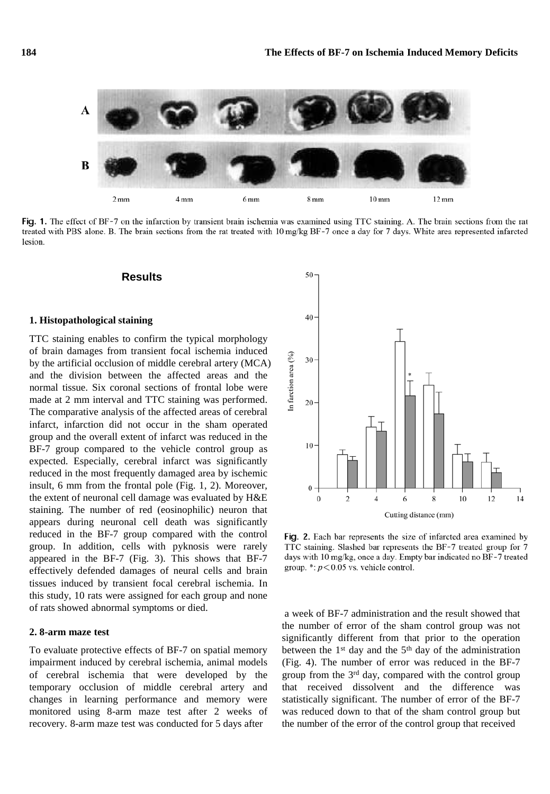

Fig. 1. The effect of BF-7 on the infarction by transient brain ischemia was examined using TTC staining. A. The brain sections from the rat treated with PBS alone. B. The brain sections from the rat treated with 10 mg/kg BF-7 once a day for 7 days. White area represented infarcted lesion.

#### **Results**

#### **1. Histopathological staining**

TTC staining enables to confirm the typical morphology of brain damages from transient focal ischemia induced by the artificial occlusion of middle cerebral artery (MCA) and the division between the affected areas and the normal tissue. Six coronal sections of frontal lobe were made at 2 mm interval and TTC staining was performed. The comparative analysis of the affected areas of cerebral infarct, infarction did not occur in the sham operated group and the overall extent of infarct was reduced in the BF-7 group compared to the vehicle control group as expected. Especially, cerebral infarct was significantly reduced in the most frequently damaged area by ischemic insult, 6 mm from the frontal pole (Fig. 1, 2). Moreover, the extent of neuronal cell damage was evaluated by H&E staining. The number of red (eosinophilic) neuron that appears during neuronal cell death was significantly reduced in the BF-7 group compared with the control group. In addition, cells with pyknosis were rarely appeared in the BF-7 (Fig. 3). This shows that BF-7 effectively defended damages of neural cells and brain tissues induced by transient focal cerebral ischemia. In this study, 10 rats were assigned for each group and none of rats showed abnormal symptoms or died.

#### **2. 8-arm maze test**

To evaluate protective effects of BF-7 on spatial memory impairment induced by cerebral ischemia, animal models of cerebral ischemia that were developed by the temporary occlusion of middle cerebral artery and changes in learning performance and memory were monitored using 8-arm maze test after 2 weeks of recovery. 8-arm maze test was conducted for 5 days after



Fig. 2. Each bar represents the size of infarcted area examined by TTC staining. Slashed bar represents the BF-7 treated group for 7 days with 10 mg/kg, once a day. Empty bar indicated no BF-7 treated group. \*:  $p < 0.05$  vs. vehicle control.

a week of BF-7 administration and the result showed that the number of error of the sham control group was not significantly different from that prior to the operation between the  $1<sup>st</sup>$  day and the  $5<sup>th</sup>$  day of the administration (Fig. 4). The number of error was reduced in the BF-7 group from the 3rd day, compared with the control group that received dissolvent and the difference was statistically significant. The number of error of the BF-7 was reduced down to that of the sham control group but the number of the error of the control group that received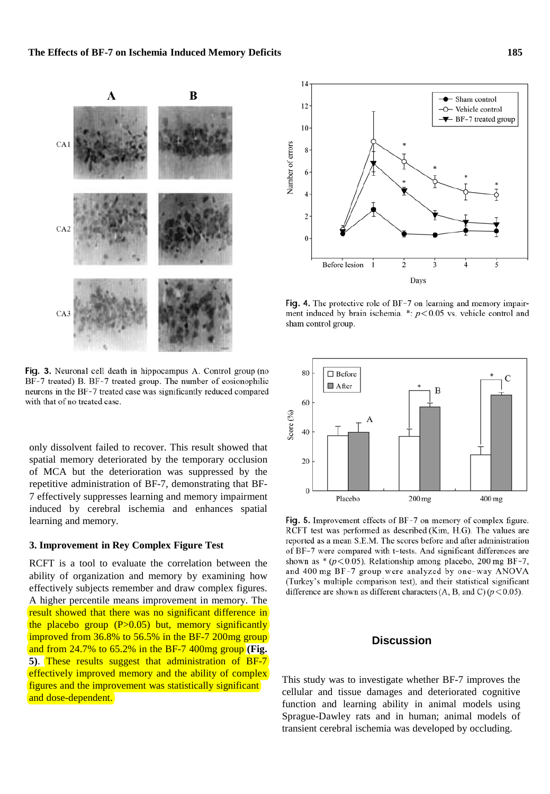

Fig. 3. Neuronal cell death in hippocampus A. Control group (no BF-7 treated) B. BF-7 treated group. The number of eosionophilic neurons in the BF-7 treated case was significantly reduced compared with that of no treated case.

only dissolvent failed to recover. This result showed that spatial memory deteriorated by the temporary occlusion of MCA but the deterioration was suppressed by the repetitive administration of BF-7, demonstrating that BF-7 effectively suppresses learning and memory impairment induced by cerebral ischemia and enhances spatial learning and memory.

## **3. Improvement in Rey Complex Figure Test**

RCFT is a tool to evaluate the correlation between the ability of organization and memory by examining how effectively subjects remember and draw complex figures. A higher percentile means improvement in memory. The result showed that there was no significant difference in the placebo group  $(P>0.05)$  but, memory significantly improved from 36.8% to 56.5% in the BF-7 200mg group and from 24.7% to 65.2% in the BF-7 400mg group **(Fig. 5)**. These results suggest that administration of BF-7 effectively improved memory and the ability of complex figures and the improvement was statistically significant and dose-dependent.



Fig. 4. The protective role of BF-7 on learning and memory impairment induced by brain ischemia. \*:  $p < 0.05$  vs. vehicle control and sham control group.



Fig. 5. Improvement effects of BF-7 on memory of complex figure. RCFT test was performed as described (Kim, H.G). The values are reported as a mean S.E.M. The scores before and after administration of BF-7 were compared with t-tests. And significant differences are shown as  $*(p<0.05)$ . Relationship among placebo, 200 mg BF-7, and 400 mg BF-7 group were analyzed by one-way ANOVA (Turkey's multiple comparison test), and their statistical significant difference are shown as different characters (A, B, and C) ( $p < 0.05$ ).

## **Discussion**

This study was to investigate whether BF-7 improves the cellular and tissue damages and deteriorated cognitive function and learning ability in animal models using Sprague-Dawley rats and in human; animal models of transient cerebral ischemia was developed by occluding.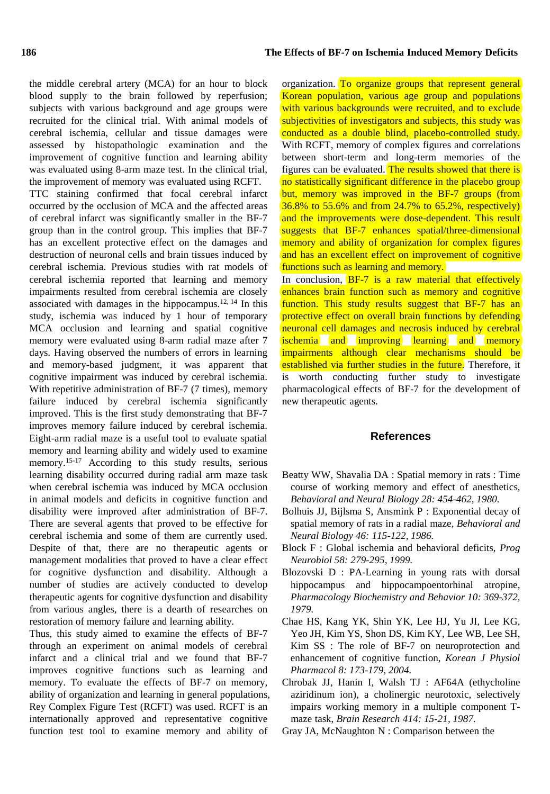the middle cerebral artery (MCA) for an hour to block blood supply to the brain followed by reperfusion; subjects with various background and age groups were recruited for the clinical trial. With animal models of cerebral ischemia, cellular and tissue damages were assessed by histopathologic examination and the improvement of cognitive function and learning ability was evaluated using 8-arm maze test. In the clinical trial, the improvement of memory was evaluated using RCFT. TTC staining confirmed that focal cerebral infarct occurred by the occlusion of MCA and the affected areas of cerebral infarct was significantly smaller in the BF-7 group than in the control group. This implies that BF-7 has an excellent protective effect on the damages and destruction of neuronal cells and brain tissues induced by cerebral ischemia. Previous studies with rat models of cerebral ischemia reported that learning and memory impairments resulted from cerebral ischemia are closely associated with damages in the hippocampus.<sup>12, 14</sup> In this study, ischemia was induced by 1 hour of temporary MCA occlusion and learning and spatial cognitive memory were evaluated using 8-arm radial maze after 7 days. Having observed the numbers of errors in learning and memory-based judgment, it was apparent that cognitive impairment was induced by cerebral ischemia. With repetitive administration of BF-7 (7 times), memory failure induced by cerebral ischemia significantly improved. This is the first study demonstrating that BF-7 improves memory failure induced by cerebral ischemia. Eight-arm radial maze is a useful tool to evaluate spatial memory and learning ability and widely used to examine memory. 15-17 According to this study results, serious learning disability occurred during radial arm maze task when cerebral ischemia was induced by MCA occlusion in animal models and deficits in cognitive function and disability were improved after administration of BF-7. There are several agents that proved to be effective for cerebral ischemia and some of them are currently used. Despite of that, there are no therapeutic agents or management modalities that proved to have a clear effect for cognitive dysfunction and disability. Although a number of studies are actively conducted to develop therapeutic agents for cognitive dysfunction and disability from various angles, there is a dearth of researches on restoration of memory failure and learning ability.

Thus, this study aimed to examine the effects of BF-7 through an experiment on animal models of cerebral infarct and a clinical trial and we found that BF-7 improves cognitive functions such as learning and memory. To evaluate the effects of BF-7 on memory, ability of organization and learning in general populations, Rey Complex Figure Test (RCFT) was used. RCFT is an internationally approved and representative cognitive function test tool to examine memory and ability of

organization. To organize groups that represent general Korean population, various age group and populations with various backgrounds were recruited, and to exclude subjectivities of investigators and subjects, this study was conducted as a double blind, placebo-controlled study. With RCFT, memory of complex figures and correlations between short-term and long-term memories of the figures can be evaluated. The results showed that there is no statistically significant difference in the placebo group but, memory was improved in the BF-7 groups (from 36.8% to 55.6% and from 24.7% to 65.2%, respectively) and the improvements were dose-dependent. This result suggests that BF-7 enhances spatial/three-dimensional memory and ability of organization for complex figures and has an excellent effect on improvement of cognitive functions such as learning and memory.

In conclusion, BF-7 is a raw material that effectively enhances brain function such as memory and cognitive function. This study results suggest that BF-7 has an protective effect on overall brain functions by defending neuronal cell damages and necrosis induced by cerebral ischemia and improving learning and memory impairments although clear mechanisms should be established via further studies in the future. Therefore, it is worth conducting further study to investigate pharmacological effects of BF-7 for the development of new therapeutic agents.

## **References**

- Beatty WW, Shavalia DA : Spatial memory in rats : Time course of working memory and effect of anesthetics, *Behavioral and Neural Biology 28: 454*-*462, 1980.*
- Bolhuis JJ, Bijlsma S, Ansmink P : Exponential decay of spatial memory of rats in a radial maze, *Behavioral and Neural Biology 46: 115*-*122, 1986.*
- Block F : Global ischemia and behavioral deficits, *Prog Neurobiol 58: 279*-*295, 1999.*
- Blozovski D : PA-Learning in young rats with dorsal hippocampus and hippocampoentorhinal atropine, *Pharmacology Biochemistry and Behavior 10: 369*-*372, 1979.*
- Chae HS, Kang YK, Shin YK, Lee HJ, Yu JI, Lee KG, Yeo JH, Kim YS, Shon DS, Kim KY, Lee WB, Lee SH, Kim SS : The role of BF-7 on neuroprotection and enhancement of cognitive function, *Korean J Physiol Pharmacol 8: 173*-*179, 2004.*
- Chrobak JJ, Hanin I, Walsh TJ : AF64A (ethycholine aziridinum ion), a cholinergic neurotoxic, selectively impairs working memory in a multiple component Tmaze task, *Brain Research 414: 15*-*21, 1987.*
- Gray JA, McNaughton N : Comparison between the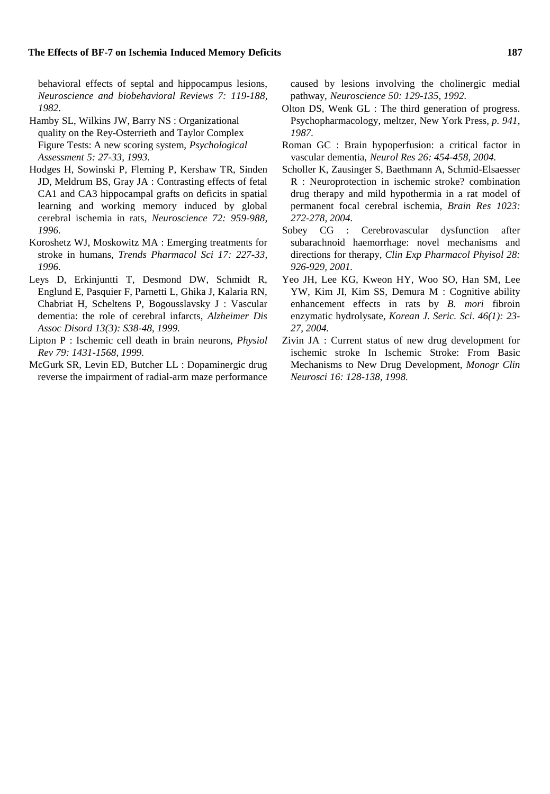#### **The Effects of BF-7 on Ischemia Induced Memory Deficits 187**

behavioral effects of septal and hippocampus lesions, *Neuroscience and biobehavioral Reviews 7: 119*-*188, 1982.*

- Hamby SL, Wilkins JW, Barry NS : Organizational quality on the Rey-Osterrieth and Taylor Complex Figure Tests: A new scoring system, *Psychological Assessment 5: 27*-*33, 1993.*
- Hodges H, Sowinski P, Fleming P, Kershaw TR, Sinden JD, Meldrum BS, Gray JA : Contrasting effects of fetal CA1 and CA3 hippocampal grafts on deficits in spatial learning and working memory induced by global cerebral ischemia in rats, *Neuroscience 72: 959*-*988, 1996.*
- Koroshetz WJ, Moskowitz MA : Emerging treatments for stroke in humans, *Trends Pharmacol Sci 17: 227*-*33, 1996.*
- Leys D, Erkinjuntti T, Desmond DW, Schmidt R, Englund E, Pasquier F, Parnetti L, Ghika J, Kalaria RN, Chabriat H, Scheltens P, Bogousslavsky J : Vascular dementia: the role of cerebral infarcts, *Alzheimer Dis Assoc Disord 13(3): S38*-*48, 1999.*
- Lipton P : Ischemic cell death in brain neurons, *Physiol Rev 79: 1431*-*1568, 1999.*
- McGurk SR, Levin ED, Butcher LL : Dopaminergic drug reverse the impairment of radial-arm maze performance

caused by lesions involving the cholinergic medial pathway, *Neuroscience 50: 129*-*135, 1992.*

- Olton DS, Wenk GL : The third generation of progress. Psychopharmacology, meltzer, New York Press, *p. 941, 1987.*
- Roman GC : Brain hypoperfusion: a critical factor in vascular dementia, *Neurol Res 26: 454*-*458, 2004.*
- Scholler K, Zausinger S, Baethmann A, Schmid-Elsaesser R : Neuroprotection in ischemic stroke? combination drug therapy and mild hypothermia in a rat model of permanent focal cerebral ischemia, *Brain Res 1023: 272*-*278, 2004.*
- Sobey CG : Cerebrovascular dysfunction after subarachnoid haemorrhage: novel mechanisms and directions for therapy, *Clin Exp Pharmacol Phyisol 28: 926*-*929, 2001.*
- Yeo JH, Lee KG, Kweon HY, Woo SO, Han SM, Lee YW, Kim JI, Kim SS, Demura M : Cognitive ability enhancement effects in rats by *B. mori* fibroin enzymatic hydrolysate, *Korean J. Seric. Sci. 46(1): 23*- *27, 2004.*
- Zivin JA : Current status of new drug development for ischemic stroke In Ischemic Stroke: From Basic Mechanisms to New Drug Development, *Monogr Clin Neurosci 16: 128*-*138, 1998.*